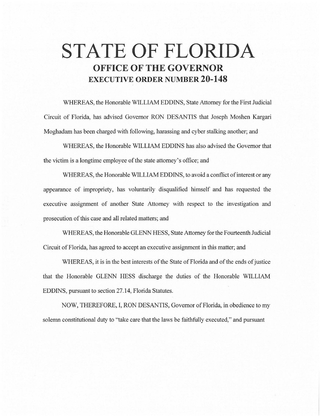# **STATE OF FLORIDA OFFICE OF THE GOVERNOR EXECUTIVE ORDER NUMBER 20-148**

WHEREAS, the Honorable WILLIAM EDDINS, State Attorney for the First Judicial Circuit of Florida, has advised Governor RON DESANTIS that Joseph Moshen Kargari Moghadam has been charged with following, harassing and cyber stalking another; and

WHEREAS, the Honorable WILLIAM EDDINS has also advised the Governor that the victim is a longtime employee of the state attorney's office; and

WHEREAS, the Honorable WILLIAM EDDINS, to avoid a conflict of interest or any appearance of impropriety, has voluntarily disqualified himself and has requested the executive assignment of another State Attorney with respect to the investigation and prosecution of this case and all related matters; and

WHEREAS, the Honorable GLENN HESS, State Attorney for the Fourteenth Judicial Circuit of Florida, has agreed to accept an executive assignment in this matter; and

WHEREAS, it is in the best interests of the State of Florida and of the ends of justice that the Honorable GLENN HESS discharge the duties of the Honorable WILLIAM EDDINS, pursuant to section 27.14, Florida Statutes.

NOW, THEREFORE, I, RON DESANTIS, Governor of Florida, in obedience to my solemn constitutional duty to "take care that the laws be faithfully executed," and pursuant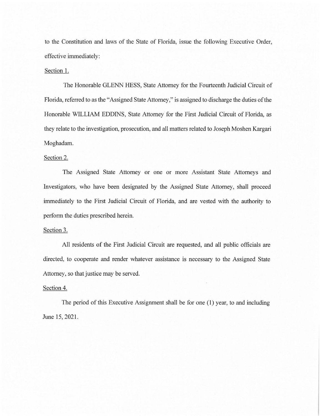to the Constitution and laws of the State of Florida, issue the following Executive Order, effective immediately:

### Section I.

The Honorable GLENN HESS, State Attorney for the Fourteenth Judicial Circuit of Florida, referred to as the "Assigned State Attorney," is assigned to discharge the duties of the Honorable WILLIAM EDDINS, State Attorney for the First Judicial Circuit of Florida, as they relate to the investigation, prosecution, and all matters related to Joseph Moshen Kargari Moghadam.

## Section 2.

The Assigned State Attorney or one or more Assistant State Attorneys and Investigators, who have been designated by the Assigned State Attorney, shall proceed immediately to the First Judicial Circuit of Florida, and are vested with the authority to perform the duties prescribed herein.

#### Section 3.

All residents of the First Judicial Circuit are requested, and all public officials are directed, to cooperate and render whatever assistance is necessary to the Assigned State Attorney, so that justice may be served.

#### Section 4.

The period of this Executive Assignment shall be for one (I) year, to and including June 15, 2021.